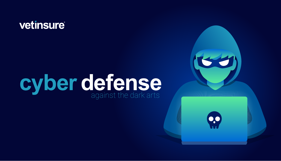## vetinsure®

# cyber defense



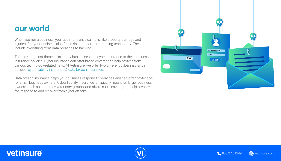#### our world

When you run a business, you face many physical risks, like property damage and injuries. But your business also faces risk that come from using technology. These include everything from data breaches to hacking.

To protect against those risks, many businesses add cyber insurance to their business insurance policies. Cyber insurance can offer broad coverage to help protect from various technology-related risks. At Vetinsure, we offer two different cyber insurance policies: cyber liability insurance & data breach insurance.

Data breach insurance helps your business respond to breaches and can offer protection for small business owners. Cyber liability insurance is typically meant for larger business owners, such as corporate veterinary groups, and offers more coverage to help prepare for, respond to and recover from cyber attacks.

#### vetinsure®









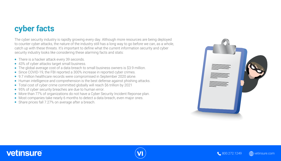### cyber facts

The cyber security industry is rapidly growing every day. Although more resources are being deployed to counter cyber attacks, the nature of the industry still has a long way to go before we can, as a whole, catch up with these threats. It's important to define what the current information security and cyber security industry looks like considering these alarming facts and stats:







- There is a hacker attack every 39 seconds.
- 43% of cyber attacks target small business.
- The global average cost of a data breach to small business owners is \$3.9 million.
- Since COVID-19, the FBI reported a 300% increase in reported cyber crimes.
- 9.7 million healthcare records were compromised in September 2020 alone.
- Human intelligence and comprehension is the best defense against phishing attacks.
- Total cost of cyber crime committed globally will reach \$6 trillion by 2021
- 95% of cyber security breaches are due to human error.
- More than 77% of organizations do not have a Cyber Security Incident Reponse plan.
- Most companies take nearly 6 months to detect a data breach, even major ones.
- Share prices fall 7.27% on average after a breach.

#### vetinsure®



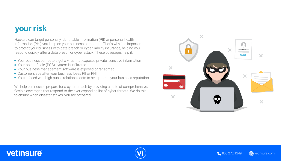

Hackers can target personally identifiable information (PII) or personal health information (PHI) you keep on your business computers. That's why it is important to protect your business with data breach or cyber liability insurance, helping you respond quickly after a data breach or cyber attack. These coverages help if:

- Your business computers get a virus that exposes private, sensitive information
- Your point of sale (POS) system is infiltrated
- Your business management software is exposed or ransomed
- Customers sue after your business loses PII or PHI
- You're faced with high public relations costs to help protect your business reputation







We help businesses prepare for a cyber breach by providing a suite of comprehensive, flexible coverages that respond to the ever-expanding list of cyber threats. We do this to ensure when disaster strikes, you are prepared.





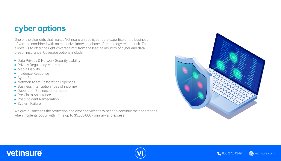#### cyber options

One of the elements that makes Vetinsure unique is our core expertise of the business of vetmed combined with an extensive knowledgebase of technology related risk. This allows us to offer the right coverage mix from the leading insurers of cyber and data breach insurance. Coverage options include:

- Data Privacy & Network Security Liability
- **Privacy Regulatory Matters**
- Media Liability
- **Incidence Response**
- Cyber Extortion
- **Network Asset Restoration Expenses**
- Business Interruption (loss of income)
- Dependent Business Interruption
- **Pre-Claim Assistance**
- Post-Incident Remediation
- **•** System Failure







We give businesses the protection and cyber services they need to continue their operations when incidents occur with limits up to \$5,000,000 - primary and excess.

#### vetinsure®



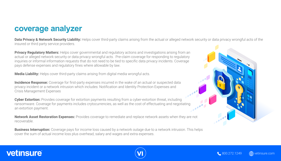#### coverage analyzer

insured or third party service providers.

**Privacy Regulatory Matters:** Helps cover governmental and regulatory actions and investigations arising from an actual or alleged network security or data privacy wrongful acts. Pre-claim coverage for responding to regulatory inquiries or informal information requests that do not need to be tied to specific data privacy incidents. Coverage pays defense expenses and regulatory fines where allowable by law.

**Incidence Response:** Coverage for first-party expenses incurred in the wake of an actual or suspected data privacy incident or a network intrusion which includes: Notification and Identity Protection Expenses and Crisis Management Expenses

**Media Liability:** Helps cover third-party claims arising from digital media wrongful acts.

**Business Interruption:** Coverage pays for income loss caused by a network outage due to a network intrusion. This helps cover the sum of actual income loss plus overhead, salary and wages and extra expenses.

#### vetinsure®

#### Data Privacy & Network Security Liability: Helps cover third-party claims arising from the actual or alleged network security or data privacy wrongful acts of the





**Cyber Extortion:** Provides coverage for extortion payments resulting from a cyber-extortion threat, including ransomware. Coverage for payments includes crytocurrencies, as well as the cost of effectuating and negotiating an extortion payment.

**Network Asset Restoration Expenses:** Provides coverage to remediate and replace network assets when they are not recoverable.





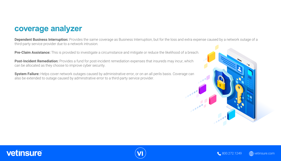#### **Dependent Business Interruption:** Provides the same coverage as Business Interruption, but for the loss and extra expense caused by a network outage of a





#### coverage analyzer

third-party service provider due to a network intrusion.

**Pre-Claim Assistance:** This is provided to investigate a circumstance and mitigate or reduce the likelihood of a breach.

**Post-Incident Remediation:** Provides a fund for post-incident remediation expenses that insureds may incur, which can be allocated as they choose to improve cyber security.

**System Failure:** Helps cover network outages caused by administrative error, or on an all perils basis. Coverage can also be extended to outage caused by adminstrative error to a third-party service provider.